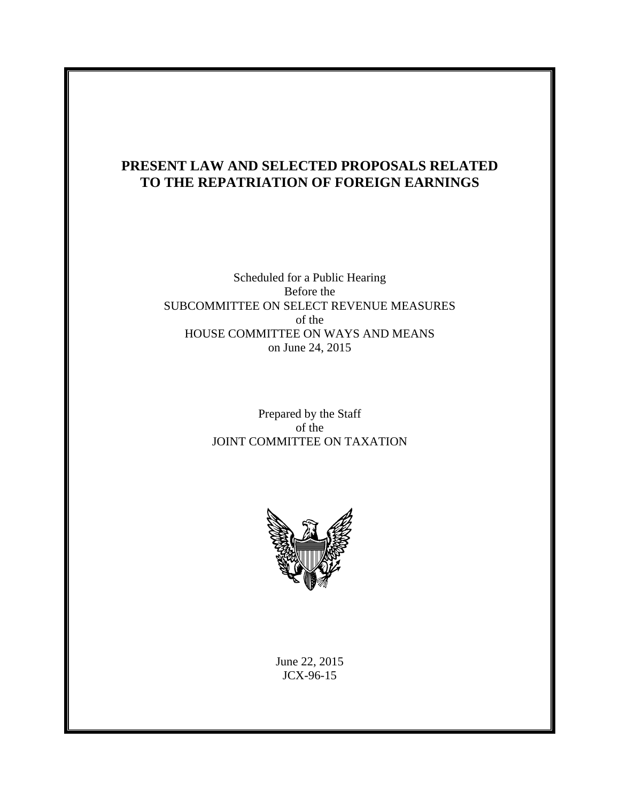# **PRESENT LAW AND SELECTED PROPOSALS RELATED TO THE REPATRIATION OF FOREIGN EARNINGS**

## Scheduled for a Public Hearing Before the SUBCOMMITTEE ON SELECT REVENUE MEASURES of the HOUSE COMMITTEE ON WAYS AND MEANS on June 24, 2015

## Prepared by the Staff of the JOINT COMMITTEE ON TAXATION



June 22, 2015 JCX-96-15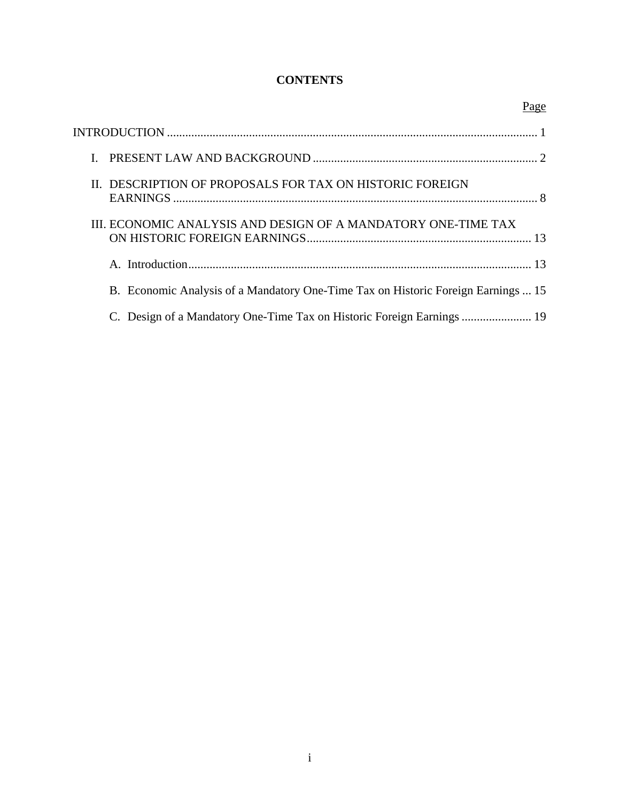## **CONTENTS**

|                                                                                   | Page |
|-----------------------------------------------------------------------------------|------|
|                                                                                   |      |
|                                                                                   |      |
| II. DESCRIPTION OF PROPOSALS FOR TAX ON HISTORIC FOREIGN                          |      |
| III. ECONOMIC ANALYSIS AND DESIGN OF A MANDATORY ONE-TIME TAX                     |      |
|                                                                                   |      |
| B. Economic Analysis of a Mandatory One-Time Tax on Historic Foreign Earnings  15 |      |
| C. Design of a Mandatory One-Time Tax on Historic Foreign Earnings  19            |      |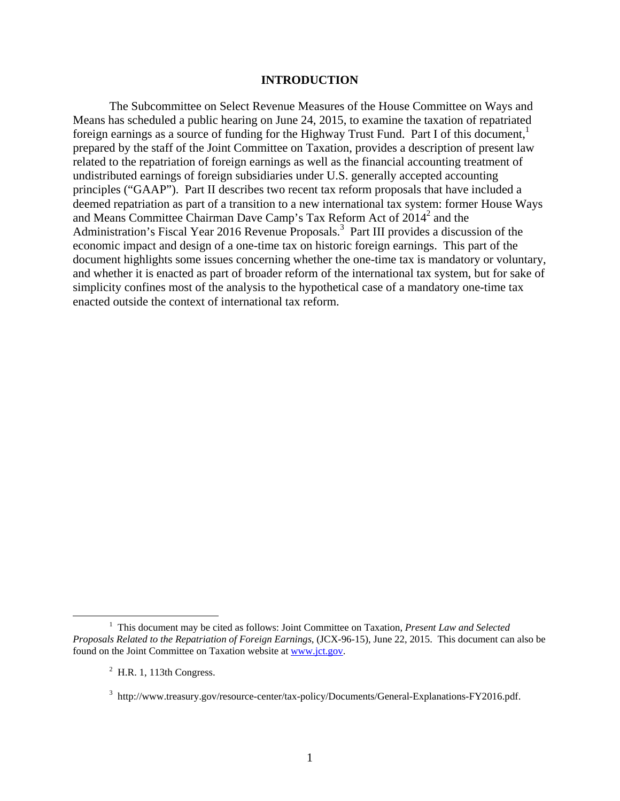#### **INTRODUCTION**

The Subcommittee on Select Revenue Measures of the House Committee on Ways and Means has scheduled a public hearing on June 24, 2015, to examine the taxation of repatriated foreign earnings as a source of funding for the Highway Trust Fund. Part I of this document, $\frac{1}{1}$ prepared by the staff of the Joint Committee on Taxation, provides a description of present law related to the repatriation of foreign earnings as well as the financial accounting treatment of undistributed earnings of foreign subsidiaries under U.S. generally accepted accounting principles ("GAAP"). Part II describes two recent tax reform proposals that have included a deemed repatriation as part of a transition to a new international tax system: former House Ways and Means Committee Chairman Dave Camp's Tax Reform Act of 2014<sup>2</sup> and the Administration's Fiscal Year 2016 Revenue Proposals.<sup>3</sup> Part III provides a discussion of the economic impact and design of a one-time tax on historic foreign earnings. This part of the document highlights some issues concerning whether the one-time tax is mandatory or voluntary, and whether it is enacted as part of broader reform of the international tax system, but for sake of simplicity confines most of the analysis to the hypothetical case of a mandatory one-time tax enacted outside the context of international tax reform.

 $\frac{1}{1}$ <sup>1</sup> This document may be cited as follows: Joint Committee on Taxation, *Present Law and Selected Proposals Related to the Repatriation of Foreign Earnings*, (JCX-96-15), June 22, 2015. This document can also be found on the Joint Committee on Taxation website at www.jct.gov.

 $<sup>2</sup>$  H.R. 1, 113th Congress.</sup>

<sup>&</sup>lt;sup>3</sup> http://www.treasury.gov/resource-center/tax-policy/Documents/General-Explanations-FY2016.pdf.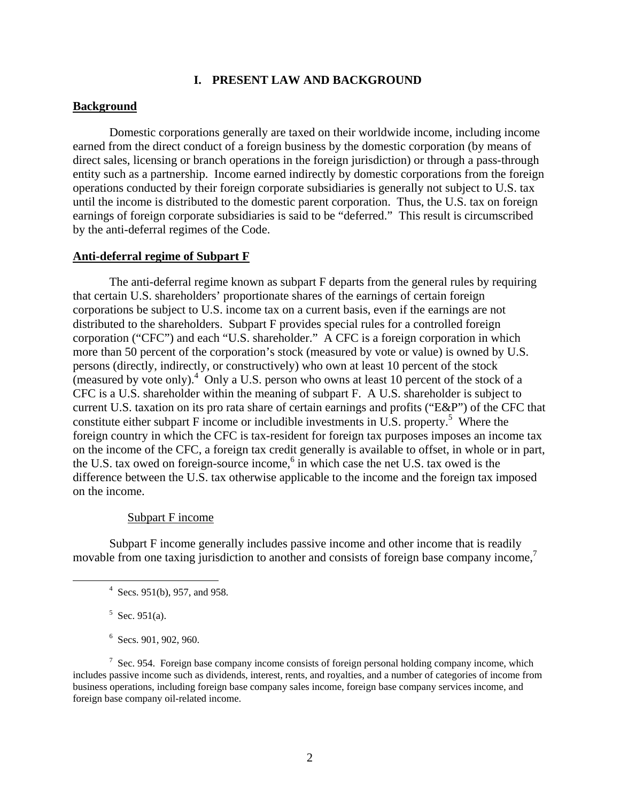#### **I. PRESENT LAW AND BACKGROUND**

#### **Background**

Domestic corporations generally are taxed on their worldwide income, including income earned from the direct conduct of a foreign business by the domestic corporation (by means of direct sales, licensing or branch operations in the foreign jurisdiction) or through a pass-through entity such as a partnership. Income earned indirectly by domestic corporations from the foreign operations conducted by their foreign corporate subsidiaries is generally not subject to U.S. tax until the income is distributed to the domestic parent corporation. Thus, the U.S. tax on foreign earnings of foreign corporate subsidiaries is said to be "deferred." This result is circumscribed by the anti-deferral regimes of the Code.

#### **Anti-deferral regime of Subpart F**

The anti-deferral regime known as subpart F departs from the general rules by requiring that certain U.S. shareholders' proportionate shares of the earnings of certain foreign corporations be subject to U.S. income tax on a current basis, even if the earnings are not distributed to the shareholders. Subpart F provides special rules for a controlled foreign corporation ("CFC") and each "U.S. shareholder." A CFC is a foreign corporation in which more than 50 percent of the corporation's stock (measured by vote or value) is owned by U.S. persons (directly, indirectly, or constructively) who own at least 10 percent of the stock (measured by vote only). $^{4}$  Only a U.S. person who owns at least 10 percent of the stock of a CFC is a U.S. shareholder within the meaning of subpart F. A U.S. shareholder is subject to current U.S. taxation on its pro rata share of certain earnings and profits ("E&P") of the CFC that constitute either subpart F income or includible investments in U.S. property.<sup>5</sup> Where the foreign country in which the CFC is tax-resident for foreign tax purposes imposes an income tax on the income of the CFC, a foreign tax credit generally is available to offset, in whole or in part, the U.S. tax owed on foreign-source income,<sup>6</sup> in which case the net U.S. tax owed is the difference between the U.S. tax otherwise applicable to the income and the foreign tax imposed on the income.

#### Subpart F income

Subpart F income generally includes passive income and other income that is readily movable from one taxing jurisdiction to another and consists of foreign base company income,<sup>7</sup>

 $5$  Sec. 951(a).

 $6$  Secs. 901, 902, 960.

 $\frac{1}{4}$  $4$  Secs. 951(b), 957, and 958.

 $7$  Sec. 954. Foreign base company income consists of foreign personal holding company income, which includes passive income such as dividends, interest, rents, and royalties, and a number of categories of income from business operations, including foreign base company sales income, foreign base company services income, and foreign base company oil-related income.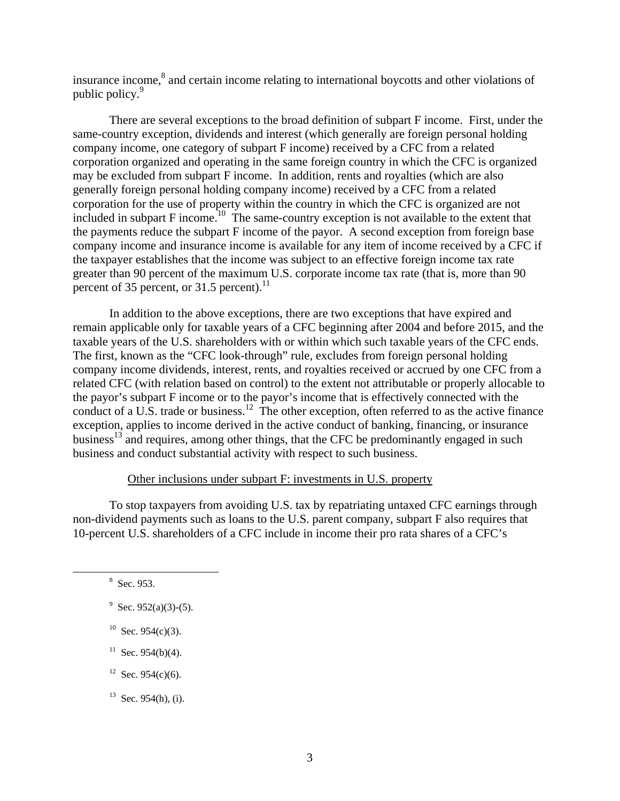insurance income,<sup>8</sup> and certain income relating to international boycotts and other violations of public policy.<sup>9</sup>

There are several exceptions to the broad definition of subpart F income. First, under the same-country exception, dividends and interest (which generally are foreign personal holding company income, one category of subpart F income) received by a CFC from a related corporation organized and operating in the same foreign country in which the CFC is organized may be excluded from subpart F income. In addition, rents and royalties (which are also generally foreign personal holding company income) received by a CFC from a related corporation for the use of property within the country in which the CFC is organized are not included in subpart  $F$  income.<sup>10</sup> The same-country exception is not available to the extent that the payments reduce the subpart F income of the payor. A second exception from foreign base company income and insurance income is available for any item of income received by a CFC if the taxpayer establishes that the income was subject to an effective foreign income tax rate greater than 90 percent of the maximum U.S. corporate income tax rate (that is, more than 90 percent of 35 percent, or 31.5 percent).<sup>11</sup>

In addition to the above exceptions, there are two exceptions that have expired and remain applicable only for taxable years of a CFC beginning after 2004 and before 2015, and the taxable years of the U.S. shareholders with or within which such taxable years of the CFC ends. The first, known as the "CFC look-through" rule, excludes from foreign personal holding company income dividends, interest, rents, and royalties received or accrued by one CFC from a related CFC (with relation based on control) to the extent not attributable or properly allocable to the payor's subpart F income or to the payor's income that is effectively connected with the conduct of a U.S. trade or business.<sup>12</sup> The other exception, often referred to as the active finance exception, applies to income derived in the active conduct of banking, financing, or insurance business<sup>13</sup> and requires, among other things, that the CFC be predominantly engaged in such business and conduct substantial activity with respect to such business.

## Other inclusions under subpart F: investments in U.S. property

To stop taxpayers from avoiding U.S. tax by repatriating untaxed CFC earnings through non-dividend payments such as loans to the U.S. parent company, subpart F also requires that 10-percent U.S. shareholders of a CFC include in income their pro rata shares of a CFC's

- $10$  Sec. 954(c)(3).
- $11$  Sec. 954(b)(4).
- <sup>12</sup> Sec. 954(c)(6).
- $13$  Sec. 954(h), (i).

 $\frac{1}{\sqrt{8}}$ <sup>8</sup> Sec. 953.

 $9^9$  Sec. 952(a)(3)-(5).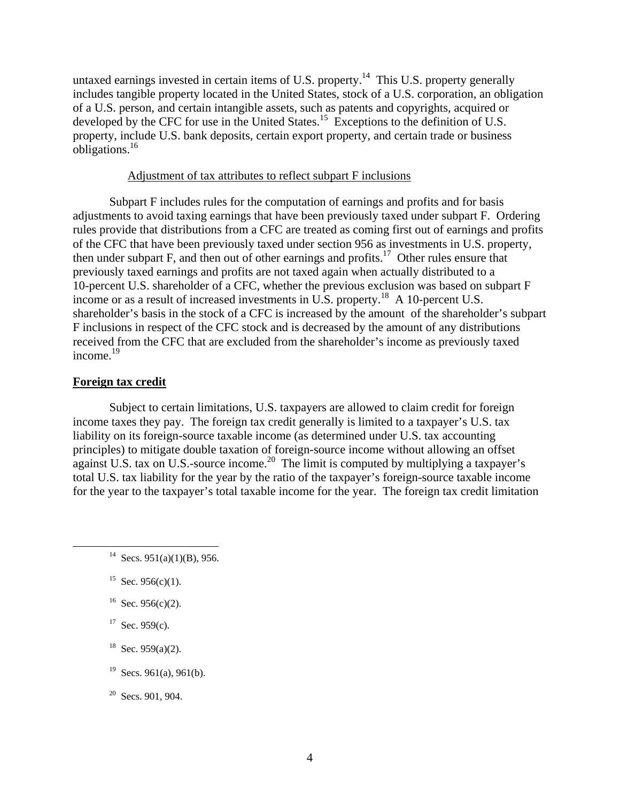untaxed earnings invested in certain items of U.S. property.<sup>14</sup> This U.S. property generally includes tangible property located in the United States, stock of a U.S. corporation, an obligation of a U.S. person, and certain intangible assets, such as patents and copyrights, acquired or developed by the CFC for use in the United States.<sup>15</sup> Exceptions to the definition of U.S. property, include U.S. bank deposits, certain export property, and certain trade or business obligations.16

## Adjustment of tax attributes to reflect subpart F inclusions

Subpart F includes rules for the computation of earnings and profits and for basis adjustments to avoid taxing earnings that have been previously taxed under subpart F. Ordering rules provide that distributions from a CFC are treated as coming first out of earnings and profits of the CFC that have been previously taxed under section 956 as investments in U.S. property, then under subpart F, and then out of other earnings and profits.<sup>17</sup> Other rules ensure that previously taxed earnings and profits are not taxed again when actually distributed to a 10-percent U.S. shareholder of a CFC, whether the previous exclusion was based on subpart F income or as a result of increased investments in U.S. property.<sup>18</sup> A 10-percent U.S. shareholder's basis in the stock of a CFC is increased by the amount of the shareholder's subpart F inclusions in respect of the CFC stock and is decreased by the amount of any distributions received from the CFC that are excluded from the shareholder's income as previously taxed income. $19$ 

#### **Foreign tax credit**

Subject to certain limitations, U.S. taxpayers are allowed to claim credit for foreign income taxes they pay. The foreign tax credit generally is limited to a taxpayer's U.S. tax liability on its foreign-source taxable income (as determined under U.S. tax accounting principles) to mitigate double taxation of foreign-source income without allowing an offset against U.S. tax on U.S.-source income.<sup>20</sup> The limit is computed by multiplying a taxpayer's total U.S. tax liability for the year by the ratio of the taxpayer's foreign-source taxable income for the year to the taxpayer's total taxable income for the year. The foreign tax credit limitation

- <sup>15</sup> Sec. 956(c)(1).
- <sup>16</sup> Sec. 956(c)(2).
- $17$  Sec. 959(c).
- $18$  Sec. 959(a)(2).
- <sup>19</sup> Secs. 961(a), 961(b).

 $20$  Secs. 901, 904.

<sup>&</sup>lt;sup>14</sup> Secs. 951(a)(1)(B), 956.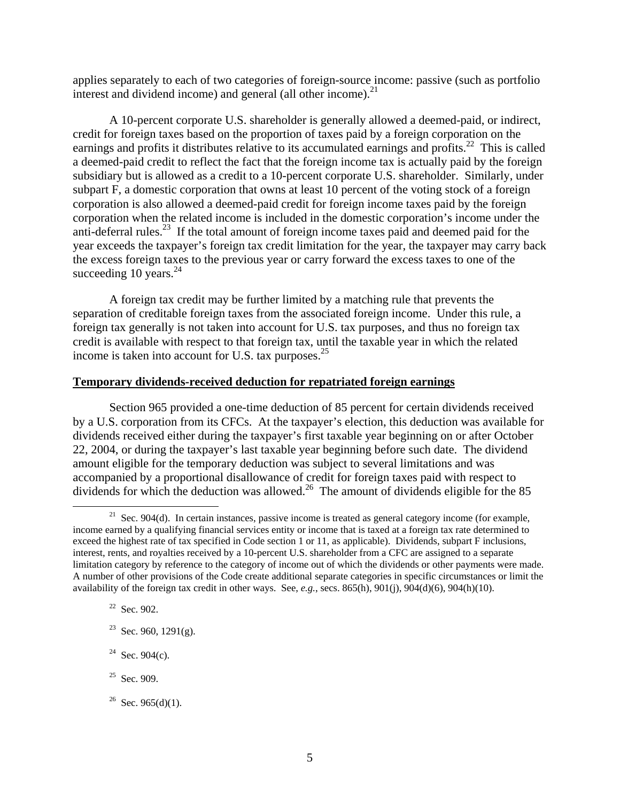applies separately to each of two categories of foreign-source income: passive (such as portfolio interest and dividend income) and general (all other income). $^{21}$ 

A 10-percent corporate U.S. shareholder is generally allowed a deemed-paid, or indirect, credit for foreign taxes based on the proportion of taxes paid by a foreign corporation on the earnings and profits it distributes relative to its accumulated earnings and profits.<sup>22</sup> This is called a deemed-paid credit to reflect the fact that the foreign income tax is actually paid by the foreign subsidiary but is allowed as a credit to a 10-percent corporate U.S. shareholder. Similarly, under subpart F, a domestic corporation that owns at least 10 percent of the voting stock of a foreign corporation is also allowed a deemed-paid credit for foreign income taxes paid by the foreign corporation when the related income is included in the domestic corporation's income under the anti-deferral rules.<sup>23</sup> If the total amount of foreign income taxes paid and deemed paid for the year exceeds the taxpayer's foreign tax credit limitation for the year, the taxpayer may carry back the excess foreign taxes to the previous year or carry forward the excess taxes to one of the succeeding 10 years. $^{24}$ 

A foreign tax credit may be further limited by a matching rule that prevents the separation of creditable foreign taxes from the associated foreign income. Under this rule, a foreign tax generally is not taken into account for U.S. tax purposes, and thus no foreign tax credit is available with respect to that foreign tax, until the taxable year in which the related income is taken into account for U.S. tax purposes. $^{25}$ 

### **Temporary dividends-received deduction for repatriated foreign earnings**

Section 965 provided a one-time deduction of 85 percent for certain dividends received by a U.S. corporation from its CFCs. At the taxpayer's election, this deduction was available for dividends received either during the taxpayer's first taxable year beginning on or after October 22, 2004, or during the taxpayer's last taxable year beginning before such date. The dividend amount eligible for the temporary deduction was subject to several limitations and was accompanied by a proportional disallowance of credit for foreign taxes paid with respect to dividends for which the deduction was allowed.<sup>26</sup> The amount of dividends eligible for the 85

22 Sec. 902.

 $21$  Sec. 904(d). In certain instances, passive income is treated as general category income (for example, income earned by a qualifying financial services entity or income that is taxed at a foreign tax rate determined to exceed the highest rate of tax specified in Code section 1 or 11, as applicable). Dividends, subpart F inclusions, interest, rents, and royalties received by a 10-percent U.S. shareholder from a CFC are assigned to a separate limitation category by reference to the category of income out of which the dividends or other payments were made. A number of other provisions of the Code create additional separate categories in specific circumstances or limit the availability of the foreign tax credit in other ways. See, *e.g.*, secs. 865(h), 901(j), 904(d)(6), 904(h)(10).

<sup>&</sup>lt;sup>23</sup> Sec. 960, 1291(g).

<sup>&</sup>lt;sup>24</sup> Sec. 904(c).

 $25$  Sec. 909.

 $26$  Sec. 965(d)(1).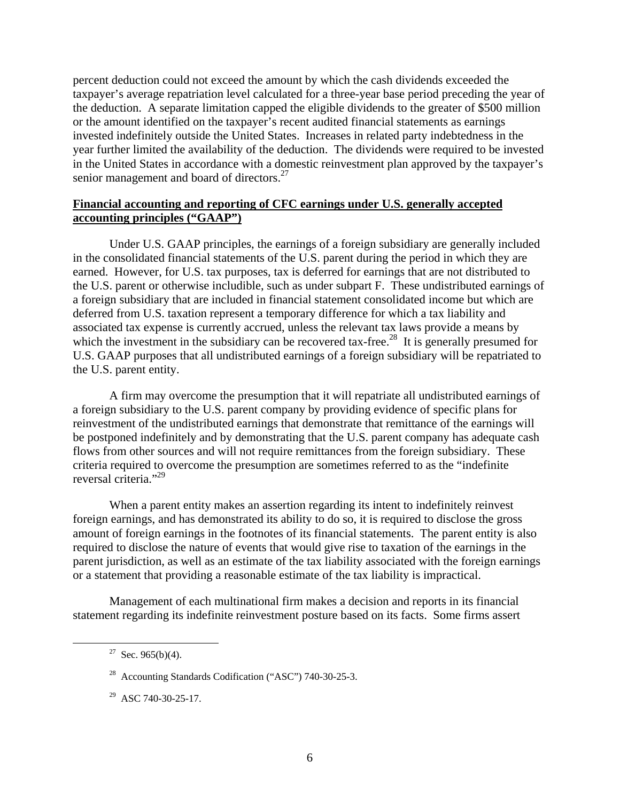percent deduction could not exceed the amount by which the cash dividends exceeded the taxpayer's average repatriation level calculated for a three-year base period preceding the year of the deduction. A separate limitation capped the eligible dividends to the greater of \$500 million or the amount identified on the taxpayer's recent audited financial statements as earnings invested indefinitely outside the United States. Increases in related party indebtedness in the year further limited the availability of the deduction. The dividends were required to be invested in the United States in accordance with a domestic reinvestment plan approved by the taxpayer's senior management and board of directors.<sup>27</sup>

## **Financial accounting and reporting of CFC earnings under U.S. generally accepted accounting principles ("GAAP")**

Under U.S. GAAP principles, the earnings of a foreign subsidiary are generally included in the consolidated financial statements of the U.S. parent during the period in which they are earned. However, for U.S. tax purposes, tax is deferred for earnings that are not distributed to the U.S. parent or otherwise includible, such as under subpart F. These undistributed earnings of a foreign subsidiary that are included in financial statement consolidated income but which are deferred from U.S. taxation represent a temporary difference for which a tax liability and associated tax expense is currently accrued, unless the relevant tax laws provide a means by which the investment in the subsidiary can be recovered tax-free.<sup>28</sup> It is generally presumed for U.S. GAAP purposes that all undistributed earnings of a foreign subsidiary will be repatriated to the U.S. parent entity.

A firm may overcome the presumption that it will repatriate all undistributed earnings of a foreign subsidiary to the U.S. parent company by providing evidence of specific plans for reinvestment of the undistributed earnings that demonstrate that remittance of the earnings will be postponed indefinitely and by demonstrating that the U.S. parent company has adequate cash flows from other sources and will not require remittances from the foreign subsidiary. These criteria required to overcome the presumption are sometimes referred to as the "indefinite reversal criteria."<sup>29</sup>

When a parent entity makes an assertion regarding its intent to indefinitely reinvest foreign earnings, and has demonstrated its ability to do so, it is required to disclose the gross amount of foreign earnings in the footnotes of its financial statements. The parent entity is also required to disclose the nature of events that would give rise to taxation of the earnings in the parent jurisdiction, as well as an estimate of the tax liability associated with the foreign earnings or a statement that providing a reasonable estimate of the tax liability is impractical.

Management of each multinational firm makes a decision and reports in its financial statement regarding its indefinite reinvestment posture based on its facts. Some firms assert

 $27$  Sec. 965(b)(4).

<sup>&</sup>lt;sup>28</sup> Accounting Standards Codification ("ASC") 740-30-25-3.

<sup>29</sup> ASC 740-30-25-17.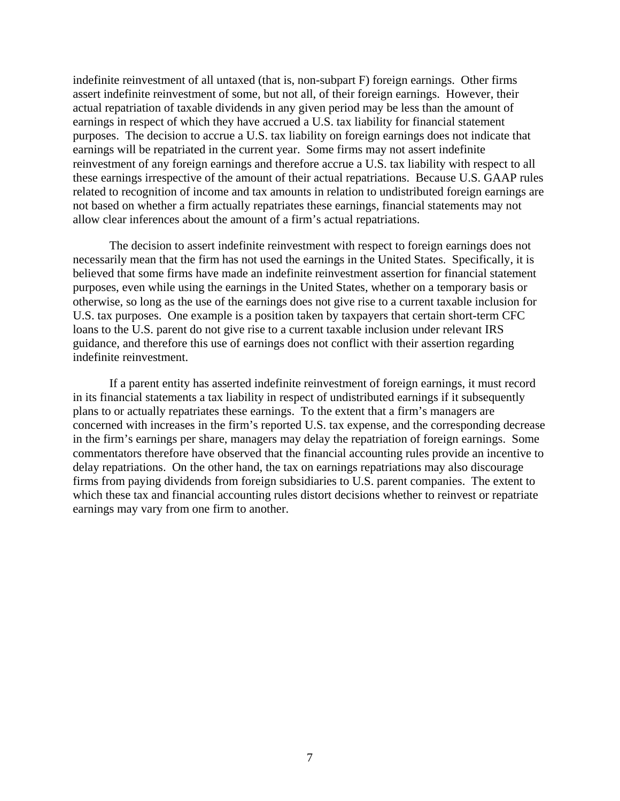indefinite reinvestment of all untaxed (that is, non-subpart F) foreign earnings. Other firms assert indefinite reinvestment of some, but not all, of their foreign earnings. However, their actual repatriation of taxable dividends in any given period may be less than the amount of earnings in respect of which they have accrued a U.S. tax liability for financial statement purposes. The decision to accrue a U.S. tax liability on foreign earnings does not indicate that earnings will be repatriated in the current year. Some firms may not assert indefinite reinvestment of any foreign earnings and therefore accrue a U.S. tax liability with respect to all these earnings irrespective of the amount of their actual repatriations. Because U.S. GAAP rules related to recognition of income and tax amounts in relation to undistributed foreign earnings are not based on whether a firm actually repatriates these earnings, financial statements may not allow clear inferences about the amount of a firm's actual repatriations.

The decision to assert indefinite reinvestment with respect to foreign earnings does not necessarily mean that the firm has not used the earnings in the United States. Specifically, it is believed that some firms have made an indefinite reinvestment assertion for financial statement purposes, even while using the earnings in the United States, whether on a temporary basis or otherwise, so long as the use of the earnings does not give rise to a current taxable inclusion for U.S. tax purposes. One example is a position taken by taxpayers that certain short-term CFC loans to the U.S. parent do not give rise to a current taxable inclusion under relevant IRS guidance, and therefore this use of earnings does not conflict with their assertion regarding indefinite reinvestment.

If a parent entity has asserted indefinite reinvestment of foreign earnings, it must record in its financial statements a tax liability in respect of undistributed earnings if it subsequently plans to or actually repatriates these earnings. To the extent that a firm's managers are concerned with increases in the firm's reported U.S. tax expense, and the corresponding decrease in the firm's earnings per share, managers may delay the repatriation of foreign earnings. Some commentators therefore have observed that the financial accounting rules provide an incentive to delay repatriations. On the other hand, the tax on earnings repatriations may also discourage firms from paying dividends from foreign subsidiaries to U.S. parent companies. The extent to which these tax and financial accounting rules distort decisions whether to reinvest or repatriate earnings may vary from one firm to another.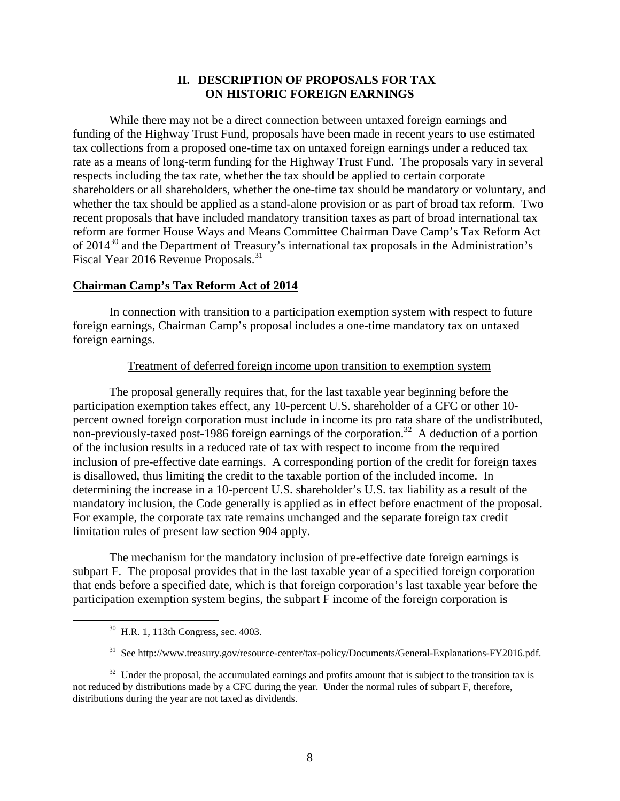## **II. DESCRIPTION OF PROPOSALS FOR TAX ON HISTORIC FOREIGN EARNINGS**

While there may not be a direct connection between untaxed foreign earnings and funding of the Highway Trust Fund, proposals have been made in recent years to use estimated tax collections from a proposed one-time tax on untaxed foreign earnings under a reduced tax rate as a means of long-term funding for the Highway Trust Fund. The proposals vary in several respects including the tax rate, whether the tax should be applied to certain corporate shareholders or all shareholders, whether the one-time tax should be mandatory or voluntary, and whether the tax should be applied as a stand-alone provision or as part of broad tax reform. Two recent proposals that have included mandatory transition taxes as part of broad international tax reform are former House Ways and Means Committee Chairman Dave Camp's Tax Reform Act of  $2014^{30}$  and the Department of Treasury's international tax proposals in the Administration's Fiscal Year 2016 Revenue Proposals.<sup>31</sup>

### **Chairman Camp's Tax Reform Act of 2014**

In connection with transition to a participation exemption system with respect to future foreign earnings, Chairman Camp's proposal includes a one-time mandatory tax on untaxed foreign earnings.

#### Treatment of deferred foreign income upon transition to exemption system

The proposal generally requires that, for the last taxable year beginning before the participation exemption takes effect, any 10-percent U.S. shareholder of a CFC or other 10 percent owned foreign corporation must include in income its pro rata share of the undistributed, non-previously-taxed post-1986 foreign earnings of the corporation.<sup>32</sup> A deduction of a portion of the inclusion results in a reduced rate of tax with respect to income from the required inclusion of pre-effective date earnings. A corresponding portion of the credit for foreign taxes is disallowed, thus limiting the credit to the taxable portion of the included income. In determining the increase in a 10-percent U.S. shareholder's U.S. tax liability as a result of the mandatory inclusion, the Code generally is applied as in effect before enactment of the proposal. For example, the corporate tax rate remains unchanged and the separate foreign tax credit limitation rules of present law section 904 apply.

The mechanism for the mandatory inclusion of pre-effective date foreign earnings is subpart F. The proposal provides that in the last taxable year of a specified foreign corporation that ends before a specified date, which is that foreign corporation's last taxable year before the participation exemption system begins, the subpart F income of the foreign corporation is

 <sup>30</sup> H.R. 1, 113th Congress, sec. 4003.

<sup>&</sup>lt;sup>31</sup> See http://www.treasury.gov/resource-center/tax-policy/Documents/General-Explanations-FY2016.pdf.

 $32$  Under the proposal, the accumulated earnings and profits amount that is subject to the transition tax is not reduced by distributions made by a CFC during the year. Under the normal rules of subpart F, therefore, distributions during the year are not taxed as dividends.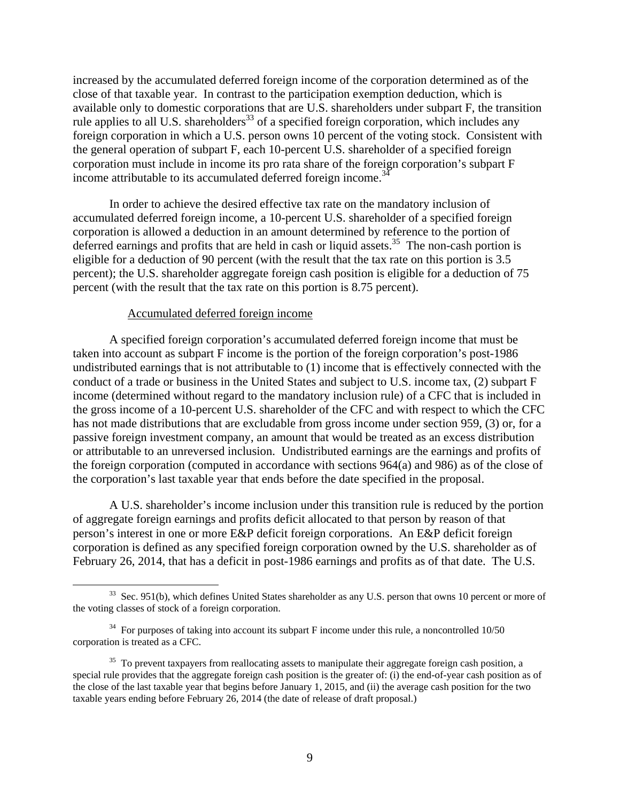increased by the accumulated deferred foreign income of the corporation determined as of the close of that taxable year. In contrast to the participation exemption deduction, which is available only to domestic corporations that are U.S. shareholders under subpart F, the transition rule applies to all U.S. shareholders<sup>33</sup> of a specified foreign corporation, which includes any foreign corporation in which a U.S. person owns 10 percent of the voting stock. Consistent with the general operation of subpart F, each 10-percent U.S. shareholder of a specified foreign corporation must include in income its pro rata share of the foreign corporation's subpart F income attributable to its accumulated deferred foreign income.<sup>34</sup>

In order to achieve the desired effective tax rate on the mandatory inclusion of accumulated deferred foreign income, a 10-percent U.S. shareholder of a specified foreign corporation is allowed a deduction in an amount determined by reference to the portion of deferred earnings and profits that are held in cash or liquid assets.<sup>35</sup> The non-cash portion is eligible for a deduction of 90 percent (with the result that the tax rate on this portion is 3.5 percent); the U.S. shareholder aggregate foreign cash position is eligible for a deduction of 75 percent (with the result that the tax rate on this portion is 8.75 percent).

#### Accumulated deferred foreign income

A specified foreign corporation's accumulated deferred foreign income that must be taken into account as subpart F income is the portion of the foreign corporation's post-1986 undistributed earnings that is not attributable to (1) income that is effectively connected with the conduct of a trade or business in the United States and subject to U.S. income tax, (2) subpart F income (determined without regard to the mandatory inclusion rule) of a CFC that is included in the gross income of a 10-percent U.S. shareholder of the CFC and with respect to which the CFC has not made distributions that are excludable from gross income under section 959, (3) or, for a passive foreign investment company, an amount that would be treated as an excess distribution or attributable to an unreversed inclusion. Undistributed earnings are the earnings and profits of the foreign corporation (computed in accordance with sections 964(a) and 986) as of the close of the corporation's last taxable year that ends before the date specified in the proposal.

A U.S. shareholder's income inclusion under this transition rule is reduced by the portion of aggregate foreign earnings and profits deficit allocated to that person by reason of that person's interest in one or more E&P deficit foreign corporations. An E&P deficit foreign corporation is defined as any specified foreign corporation owned by the U.S. shareholder as of February 26, 2014, that has a deficit in post-1986 earnings and profits as of that date. The U.S.

<sup>&</sup>lt;sup>33</sup> Sec. 951(b), which defines United States shareholder as any U.S. person that owns 10 percent or more of the voting classes of stock of a foreign corporation.

 $34$  For purposes of taking into account its subpart F income under this rule, a noncontrolled 10/50 corporation is treated as a CFC.

<sup>&</sup>lt;sup>35</sup> To prevent taxpayers from reallocating assets to manipulate their aggregate foreign cash position, a special rule provides that the aggregate foreign cash position is the greater of: (i) the end-of-year cash position as of the close of the last taxable year that begins before January 1, 2015, and (ii) the average cash position for the two taxable years ending before February 26, 2014 (the date of release of draft proposal.)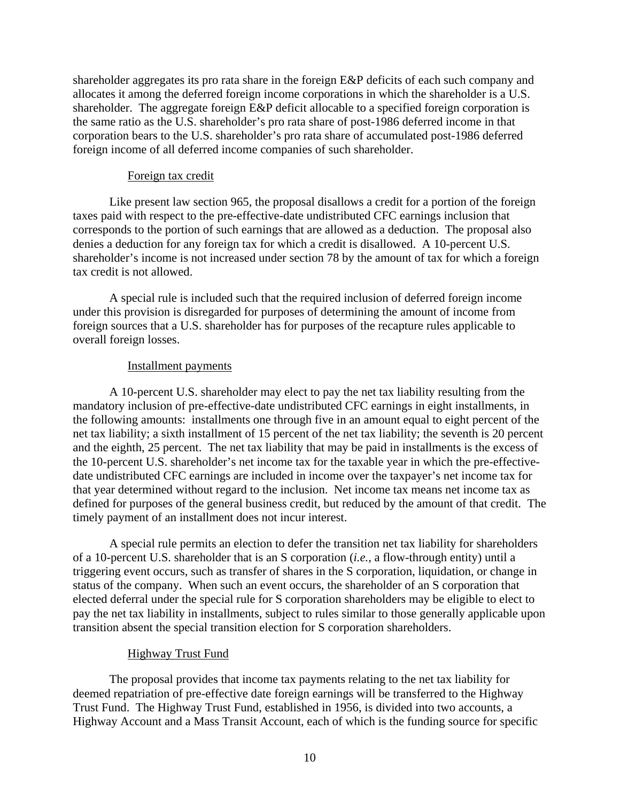shareholder aggregates its pro rata share in the foreign E&P deficits of each such company and allocates it among the deferred foreign income corporations in which the shareholder is a U.S. shareholder. The aggregate foreign E&P deficit allocable to a specified foreign corporation is the same ratio as the U.S. shareholder's pro rata share of post-1986 deferred income in that corporation bears to the U.S. shareholder's pro rata share of accumulated post-1986 deferred foreign income of all deferred income companies of such shareholder.

#### Foreign tax credit

Like present law section 965, the proposal disallows a credit for a portion of the foreign taxes paid with respect to the pre-effective-date undistributed CFC earnings inclusion that corresponds to the portion of such earnings that are allowed as a deduction. The proposal also denies a deduction for any foreign tax for which a credit is disallowed. A 10-percent U.S. shareholder's income is not increased under section 78 by the amount of tax for which a foreign tax credit is not allowed.

A special rule is included such that the required inclusion of deferred foreign income under this provision is disregarded for purposes of determining the amount of income from foreign sources that a U.S. shareholder has for purposes of the recapture rules applicable to overall foreign losses.

#### Installment payments

A 10-percent U.S. shareholder may elect to pay the net tax liability resulting from the mandatory inclusion of pre-effective-date undistributed CFC earnings in eight installments, in the following amounts: installments one through five in an amount equal to eight percent of the net tax liability; a sixth installment of 15 percent of the net tax liability; the seventh is 20 percent and the eighth, 25 percent. The net tax liability that may be paid in installments is the excess of the 10-percent U.S. shareholder's net income tax for the taxable year in which the pre-effectivedate undistributed CFC earnings are included in income over the taxpayer's net income tax for that year determined without regard to the inclusion. Net income tax means net income tax as defined for purposes of the general business credit, but reduced by the amount of that credit. The timely payment of an installment does not incur interest.

A special rule permits an election to defer the transition net tax liability for shareholders of a 10-percent U.S. shareholder that is an S corporation (*i.e.*, a flow-through entity) until a triggering event occurs, such as transfer of shares in the S corporation, liquidation, or change in status of the company. When such an event occurs, the shareholder of an S corporation that elected deferral under the special rule for S corporation shareholders may be eligible to elect to pay the net tax liability in installments, subject to rules similar to those generally applicable upon transition absent the special transition election for S corporation shareholders.

#### Highway Trust Fund

The proposal provides that income tax payments relating to the net tax liability for deemed repatriation of pre-effective date foreign earnings will be transferred to the Highway Trust Fund. The Highway Trust Fund, established in 1956, is divided into two accounts, a Highway Account and a Mass Transit Account, each of which is the funding source for specific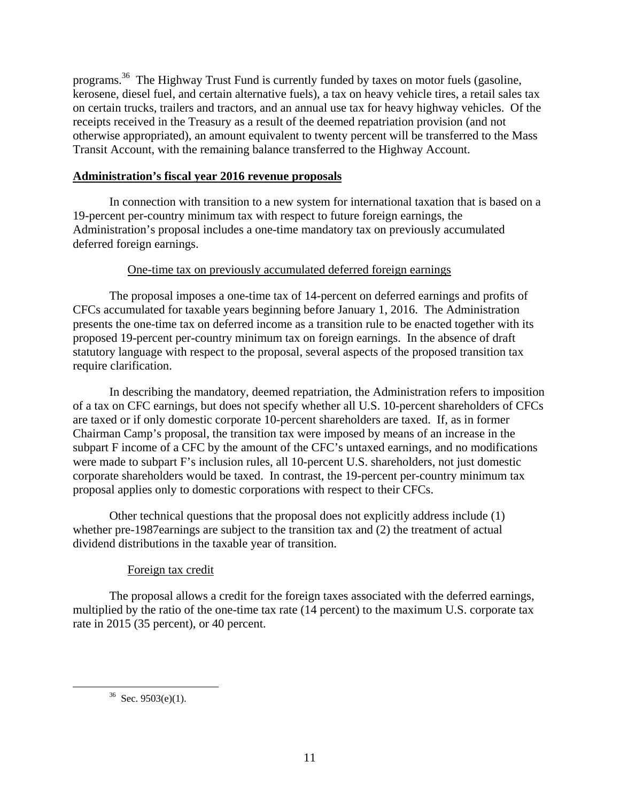programs.36 The Highway Trust Fund is currently funded by taxes on motor fuels (gasoline, kerosene, diesel fuel, and certain alternative fuels), a tax on heavy vehicle tires, a retail sales tax on certain trucks, trailers and tractors, and an annual use tax for heavy highway vehicles. Of the receipts received in the Treasury as a result of the deemed repatriation provision (and not otherwise appropriated), an amount equivalent to twenty percent will be transferred to the Mass Transit Account, with the remaining balance transferred to the Highway Account.

## **Administration's fiscal year 2016 revenue proposals**

In connection with transition to a new system for international taxation that is based on a 19-percent per-country minimum tax with respect to future foreign earnings, the Administration's proposal includes a one-time mandatory tax on previously accumulated deferred foreign earnings.

## One-time tax on previously accumulated deferred foreign earnings

The proposal imposes a one-time tax of 14-percent on deferred earnings and profits of CFCs accumulated for taxable years beginning before January 1, 2016. The Administration presents the one-time tax on deferred income as a transition rule to be enacted together with its proposed 19-percent per-country minimum tax on foreign earnings. In the absence of draft statutory language with respect to the proposal, several aspects of the proposed transition tax require clarification.

In describing the mandatory, deemed repatriation, the Administration refers to imposition of a tax on CFC earnings, but does not specify whether all U.S. 10-percent shareholders of CFCs are taxed or if only domestic corporate 10-percent shareholders are taxed. If, as in former Chairman Camp's proposal, the transition tax were imposed by means of an increase in the subpart F income of a CFC by the amount of the CFC's untaxed earnings, and no modifications were made to subpart F's inclusion rules, all 10-percent U.S. shareholders, not just domestic corporate shareholders would be taxed. In contrast, the 19-percent per-country minimum tax proposal applies only to domestic corporations with respect to their CFCs.

Other technical questions that the proposal does not explicitly address include (1) whether pre-1987earnings are subject to the transition tax and (2) the treatment of actual dividend distributions in the taxable year of transition.

## Foreign tax credit

The proposal allows a credit for the foreign taxes associated with the deferred earnings, multiplied by the ratio of the one-time tax rate (14 percent) to the maximum U.S. corporate tax rate in 2015 (35 percent), or 40 percent.

 $36$  Sec. 9503(e)(1).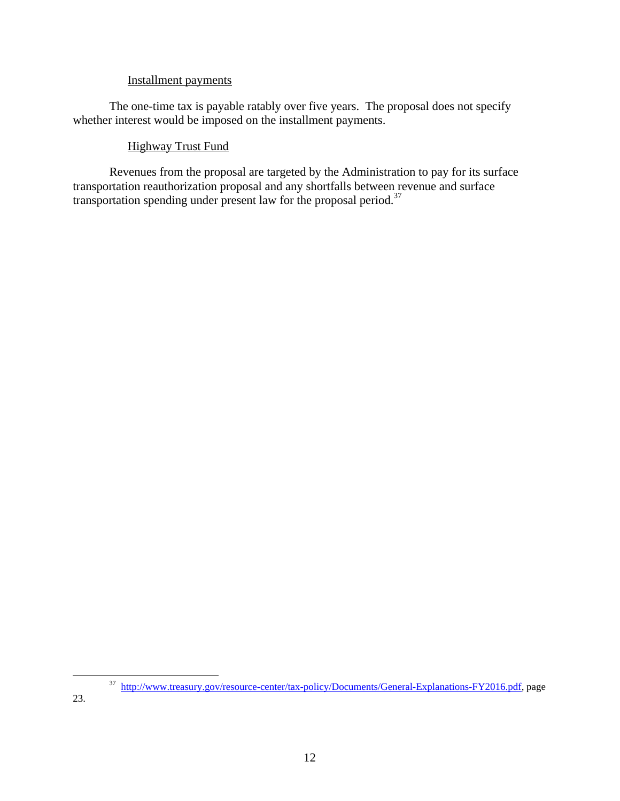## Installment payments

The one-time tax is payable ratably over five years. The proposal does not specify whether interest would be imposed on the installment payments.

## Highway Trust Fund

Revenues from the proposal are targeted by the Administration to pay for its surface transportation reauthorization proposal and any shortfalls between revenue and surface transportation spending under present law for the proposal period.37

 <sup>37</sup> http://www.treasury.gov/resource-center/tax-policy/Documents/General-Explanations-FY2016.pdf, page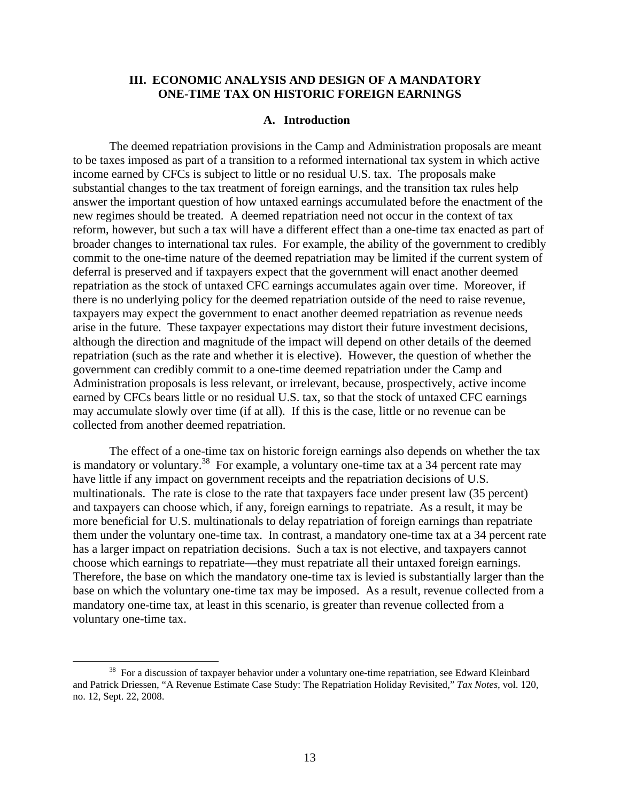## **III. ECONOMIC ANALYSIS AND DESIGN OF A MANDATORY ONE-TIME TAX ON HISTORIC FOREIGN EARNINGS**

#### **A. Introduction**

The deemed repatriation provisions in the Camp and Administration proposals are meant to be taxes imposed as part of a transition to a reformed international tax system in which active income earned by CFCs is subject to little or no residual U.S. tax. The proposals make substantial changes to the tax treatment of foreign earnings, and the transition tax rules help answer the important question of how untaxed earnings accumulated before the enactment of the new regimes should be treated. A deemed repatriation need not occur in the context of tax reform, however, but such a tax will have a different effect than a one-time tax enacted as part of broader changes to international tax rules. For example, the ability of the government to credibly commit to the one-time nature of the deemed repatriation may be limited if the current system of deferral is preserved and if taxpayers expect that the government will enact another deemed repatriation as the stock of untaxed CFC earnings accumulates again over time. Moreover, if there is no underlying policy for the deemed repatriation outside of the need to raise revenue, taxpayers may expect the government to enact another deemed repatriation as revenue needs arise in the future. These taxpayer expectations may distort their future investment decisions, although the direction and magnitude of the impact will depend on other details of the deemed repatriation (such as the rate and whether it is elective). However, the question of whether the government can credibly commit to a one-time deemed repatriation under the Camp and Administration proposals is less relevant, or irrelevant, because, prospectively, active income earned by CFCs bears little or no residual U.S. tax, so that the stock of untaxed CFC earnings may accumulate slowly over time (if at all). If this is the case, little or no revenue can be collected from another deemed repatriation.

The effect of a one-time tax on historic foreign earnings also depends on whether the tax is mandatory or voluntary.<sup>38</sup> For example, a voluntary one-time tax at a 34 percent rate may have little if any impact on government receipts and the repatriation decisions of U.S. multinationals. The rate is close to the rate that taxpayers face under present law (35 percent) and taxpayers can choose which, if any, foreign earnings to repatriate. As a result, it may be more beneficial for U.S. multinationals to delay repatriation of foreign earnings than repatriate them under the voluntary one-time tax. In contrast, a mandatory one-time tax at a 34 percent rate has a larger impact on repatriation decisions. Such a tax is not elective, and taxpayers cannot choose which earnings to repatriate—they must repatriate all their untaxed foreign earnings. Therefore, the base on which the mandatory one-time tax is levied is substantially larger than the base on which the voluntary one-time tax may be imposed. As a result, revenue collected from a mandatory one-time tax, at least in this scenario, is greater than revenue collected from a voluntary one-time tax.

<sup>&</sup>lt;sup>38</sup> For a discussion of taxpayer behavior under a voluntary one-time repatriation, see Edward Kleinbard and Patrick Driessen, "A Revenue Estimate Case Study: The Repatriation Holiday Revisited," *Tax Notes*, vol. 120, no. 12, Sept. 22, 2008.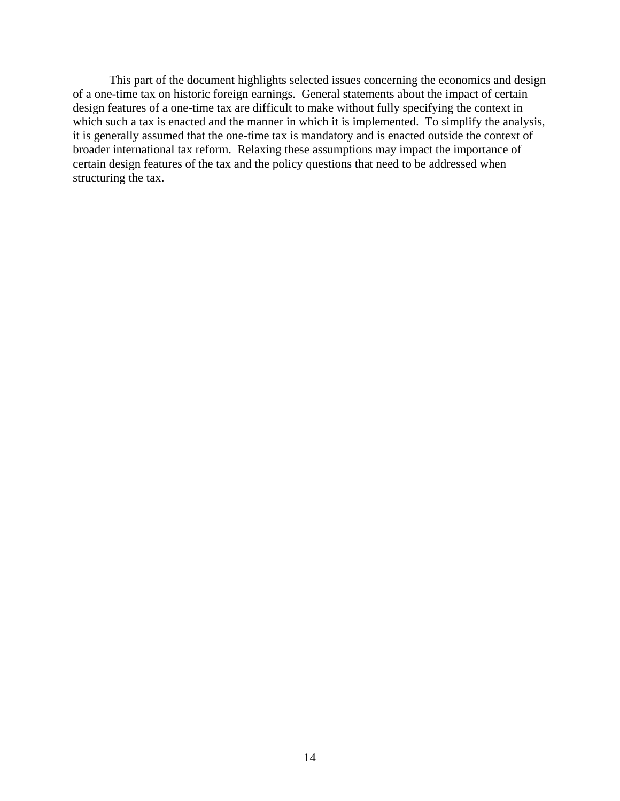This part of the document highlights selected issues concerning the economics and design of a one-time tax on historic foreign earnings. General statements about the impact of certain design features of a one-time tax are difficult to make without fully specifying the context in which such a tax is enacted and the manner in which it is implemented. To simplify the analysis, it is generally assumed that the one-time tax is mandatory and is enacted outside the context of broader international tax reform. Relaxing these assumptions may impact the importance of certain design features of the tax and the policy questions that need to be addressed when structuring the tax.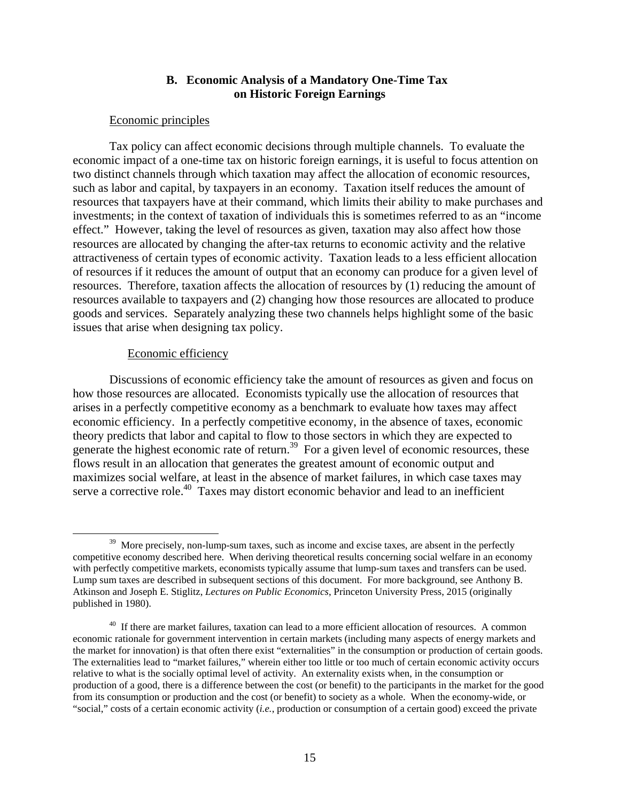## **B. Economic Analysis of a Mandatory One-Time Tax on Historic Foreign Earnings**

#### Economic principles

Tax policy can affect economic decisions through multiple channels. To evaluate the economic impact of a one-time tax on historic foreign earnings, it is useful to focus attention on two distinct channels through which taxation may affect the allocation of economic resources, such as labor and capital, by taxpayers in an economy. Taxation itself reduces the amount of resources that taxpayers have at their command, which limits their ability to make purchases and investments; in the context of taxation of individuals this is sometimes referred to as an "income effect." However, taking the level of resources as given, taxation may also affect how those resources are allocated by changing the after-tax returns to economic activity and the relative attractiveness of certain types of economic activity. Taxation leads to a less efficient allocation of resources if it reduces the amount of output that an economy can produce for a given level of resources. Therefore, taxation affects the allocation of resources by (1) reducing the amount of resources available to taxpayers and (2) changing how those resources are allocated to produce goods and services. Separately analyzing these two channels helps highlight some of the basic issues that arise when designing tax policy.

#### Economic efficiency

Discussions of economic efficiency take the amount of resources as given and focus on how those resources are allocated. Economists typically use the allocation of resources that arises in a perfectly competitive economy as a benchmark to evaluate how taxes may affect economic efficiency. In a perfectly competitive economy, in the absence of taxes, economic theory predicts that labor and capital to flow to those sectors in which they are expected to generate the highest economic rate of return.<sup>39</sup> For a given level of economic resources, these flows result in an allocation that generates the greatest amount of economic output and maximizes social welfare, at least in the absence of market failures, in which case taxes may serve a corrective role.<sup>40</sup> Taxes may distort economic behavior and lead to an inefficient

<sup>&</sup>lt;sup>39</sup> More precisely, non-lump-sum taxes, such as income and excise taxes, are absent in the perfectly competitive economy described here. When deriving theoretical results concerning social welfare in an economy with perfectly competitive markets, economists typically assume that lump-sum taxes and transfers can be used. Lump sum taxes are described in subsequent sections of this document. For more background, see Anthony B. Atkinson and Joseph E. Stiglitz, *Lectures on Public Economics*, Princeton University Press, 2015 (originally published in 1980).

<sup>&</sup>lt;sup>40</sup> If there are market failures, taxation can lead to a more efficient allocation of resources. A common economic rationale for government intervention in certain markets (including many aspects of energy markets and the market for innovation) is that often there exist "externalities" in the consumption or production of certain goods. The externalities lead to "market failures," wherein either too little or too much of certain economic activity occurs relative to what is the socially optimal level of activity. An externality exists when, in the consumption or production of a good, there is a difference between the cost (or benefit) to the participants in the market for the good from its consumption or production and the cost (or benefit) to society as a whole. When the economy-wide, or "social," costs of a certain economic activity (*i.e.*, production or consumption of a certain good) exceed the private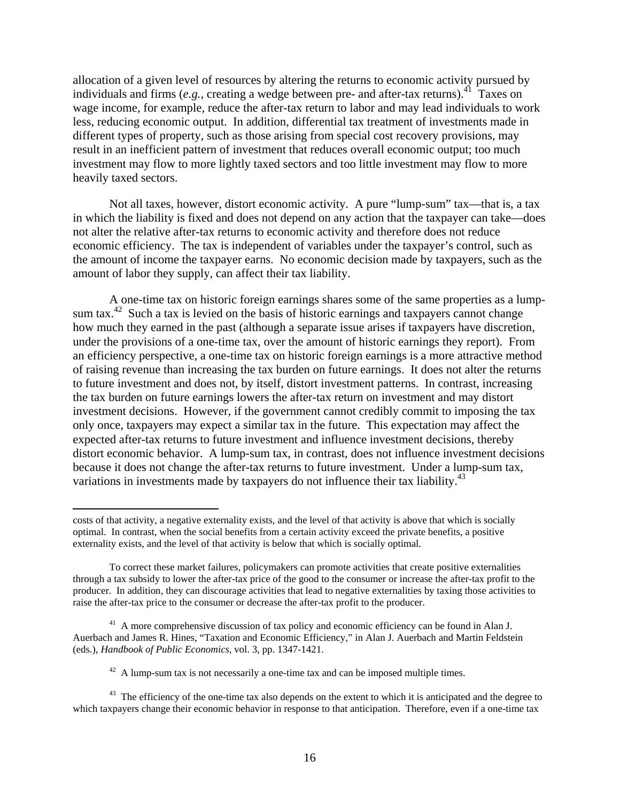allocation of a given level of resources by altering the returns to economic activity pursued by individuals and firms (*e.g.*, creating a wedge between pre- and after-tax returns).<sup>41</sup> Taxes on wage income, for example, reduce the after-tax return to labor and may lead individuals to work less, reducing economic output. In addition, differential tax treatment of investments made in different types of property, such as those arising from special cost recovery provisions, may result in an inefficient pattern of investment that reduces overall economic output; too much investment may flow to more lightly taxed sectors and too little investment may flow to more heavily taxed sectors.

Not all taxes, however, distort economic activity. A pure "lump-sum" tax—that is, a tax in which the liability is fixed and does not depend on any action that the taxpayer can take—does not alter the relative after-tax returns to economic activity and therefore does not reduce economic efficiency. The tax is independent of variables under the taxpayer's control, such as the amount of income the taxpayer earns. No economic decision made by taxpayers, such as the amount of labor they supply, can affect their tax liability.

A one-time tax on historic foreign earnings shares some of the same properties as a lumpsum tax.<sup>42</sup> Such a tax is levied on the basis of historic earnings and taxpayers cannot change how much they earned in the past (although a separate issue arises if taxpayers have discretion, under the provisions of a one-time tax, over the amount of historic earnings they report). From an efficiency perspective, a one-time tax on historic foreign earnings is a more attractive method of raising revenue than increasing the tax burden on future earnings. It does not alter the returns to future investment and does not, by itself, distort investment patterns. In contrast, increasing the tax burden on future earnings lowers the after-tax return on investment and may distort investment decisions. However, if the government cannot credibly commit to imposing the tax only once, taxpayers may expect a similar tax in the future. This expectation may affect the expected after-tax returns to future investment and influence investment decisions, thereby distort economic behavior. A lump-sum tax, in contrast, does not influence investment decisions because it does not change the after-tax returns to future investment. Under a lump-sum tax, variations in investments made by taxpayers do not influence their tax liability.<sup>43</sup>

1

costs of that activity, a negative externality exists, and the level of that activity is above that which is socially optimal. In contrast, when the social benefits from a certain activity exceed the private benefits, a positive externality exists, and the level of that activity is below that which is socially optimal.

To correct these market failures, policymakers can promote activities that create positive externalities through a tax subsidy to lower the after-tax price of the good to the consumer or increase the after-tax profit to the producer. In addition, they can discourage activities that lead to negative externalities by taxing those activities to raise the after-tax price to the consumer or decrease the after-tax profit to the producer.

<sup>&</sup>lt;sup>41</sup> A more comprehensive discussion of tax policy and economic efficiency can be found in Alan J. Auerbach and James R. Hines, "Taxation and Economic Efficiency," in Alan J. Auerbach and Martin Feldstein (eds.), *Handbook of Public Economics*, vol. 3, pp. 1347-1421.

 $42$  A lump-sum tax is not necessarily a one-time tax and can be imposed multiple times.

<sup>&</sup>lt;sup>43</sup> The efficiency of the one-time tax also depends on the extent to which it is anticipated and the degree to which taxpayers change their economic behavior in response to that anticipation. Therefore, even if a one-time tax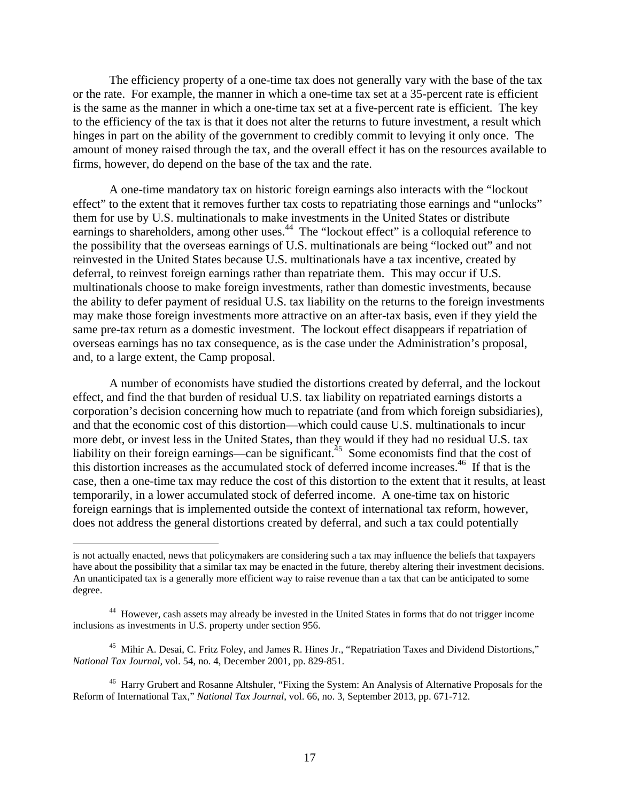The efficiency property of a one-time tax does not generally vary with the base of the tax or the rate. For example, the manner in which a one-time tax set at a 35-percent rate is efficient is the same as the manner in which a one-time tax set at a five-percent rate is efficient. The key to the efficiency of the tax is that it does not alter the returns to future investment, a result which hinges in part on the ability of the government to credibly commit to levying it only once. The amount of money raised through the tax, and the overall effect it has on the resources available to firms, however, do depend on the base of the tax and the rate.

A one-time mandatory tax on historic foreign earnings also interacts with the "lockout effect" to the extent that it removes further tax costs to repatriating those earnings and "unlocks" them for use by U.S. multinationals to make investments in the United States or distribute earnings to shareholders, among other uses.<sup>44</sup> The "lockout effect" is a colloquial reference to the possibility that the overseas earnings of U.S. multinationals are being "locked out" and not reinvested in the United States because U.S. multinationals have a tax incentive, created by deferral, to reinvest foreign earnings rather than repatriate them. This may occur if U.S. multinationals choose to make foreign investments, rather than domestic investments, because the ability to defer payment of residual U.S. tax liability on the returns to the foreign investments may make those foreign investments more attractive on an after-tax basis, even if they yield the same pre-tax return as a domestic investment. The lockout effect disappears if repatriation of overseas earnings has no tax consequence, as is the case under the Administration's proposal, and, to a large extent, the Camp proposal.

A number of economists have studied the distortions created by deferral, and the lockout effect, and find the that burden of residual U.S. tax liability on repatriated earnings distorts a corporation's decision concerning how much to repatriate (and from which foreign subsidiaries), and that the economic cost of this distortion—which could cause U.S. multinationals to incur more debt, or invest less in the United States, than they would if they had no residual U.S. tax liability on their foreign earnings—can be significant.<sup>45</sup> Some economists find that the cost of this distortion increases as the accumulated stock of deferred income increases.<sup>46</sup> If that is the case, then a one-time tax may reduce the cost of this distortion to the extent that it results, at least temporarily, in a lower accumulated stock of deferred income. A one-time tax on historic foreign earnings that is implemented outside the context of international tax reform, however, does not address the general distortions created by deferral, and such a tax could potentially

 $\overline{a}$ 

<sup>45</sup> Mihir A. Desai, C. Fritz Foley, and James R. Hines Jr., "Repatriation Taxes and Dividend Distortions," *National Tax Journal*, vol. 54, no. 4, December 2001, pp. 829-851.

is not actually enacted, news that policymakers are considering such a tax may influence the beliefs that taxpayers have about the possibility that a similar tax may be enacted in the future, thereby altering their investment decisions. An unanticipated tax is a generally more efficient way to raise revenue than a tax that can be anticipated to some degree.

<sup>&</sup>lt;sup>44</sup> However, cash assets may already be invested in the United States in forms that do not trigger income inclusions as investments in U.S. property under section 956.

<sup>&</sup>lt;sup>46</sup> Harry Grubert and Rosanne Altshuler, "Fixing the System: An Analysis of Alternative Proposals for the Reform of International Tax," *National Tax Journal*, vol. 66, no. 3, September 2013, pp. 671-712.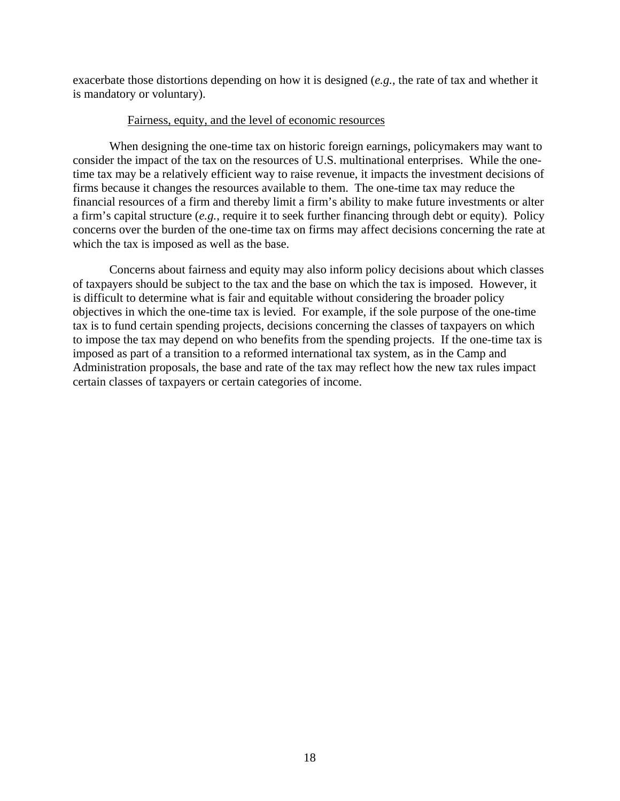exacerbate those distortions depending on how it is designed (*e.g.*, the rate of tax and whether it is mandatory or voluntary).

## Fairness, equity, and the level of economic resources

When designing the one-time tax on historic foreign earnings, policymakers may want to consider the impact of the tax on the resources of U.S. multinational enterprises. While the onetime tax may be a relatively efficient way to raise revenue, it impacts the investment decisions of firms because it changes the resources available to them. The one-time tax may reduce the financial resources of a firm and thereby limit a firm's ability to make future investments or alter a firm's capital structure (*e.g.*, require it to seek further financing through debt or equity). Policy concerns over the burden of the one-time tax on firms may affect decisions concerning the rate at which the tax is imposed as well as the base.

Concerns about fairness and equity may also inform policy decisions about which classes of taxpayers should be subject to the tax and the base on which the tax is imposed. However, it is difficult to determine what is fair and equitable without considering the broader policy objectives in which the one-time tax is levied. For example, if the sole purpose of the one-time tax is to fund certain spending projects, decisions concerning the classes of taxpayers on which to impose the tax may depend on who benefits from the spending projects. If the one-time tax is imposed as part of a transition to a reformed international tax system, as in the Camp and Administration proposals, the base and rate of the tax may reflect how the new tax rules impact certain classes of taxpayers or certain categories of income.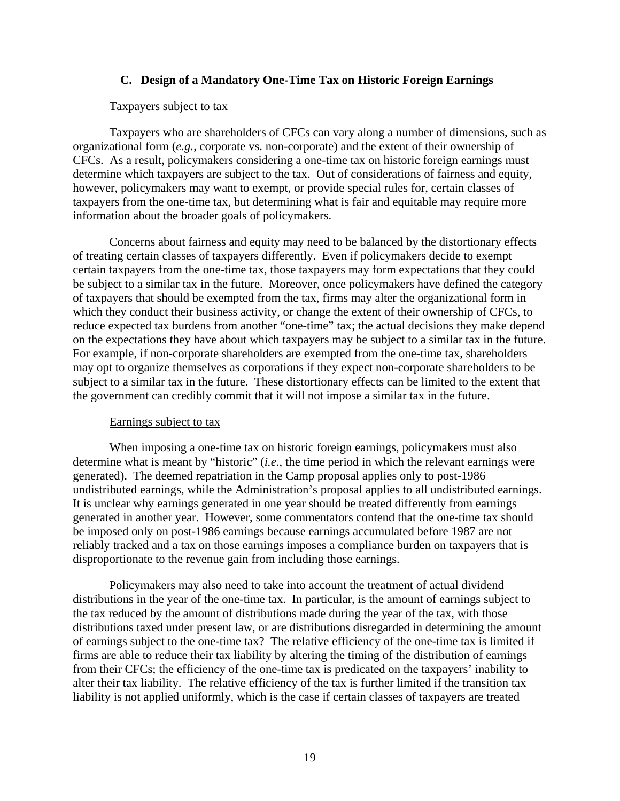## **C. Design of a Mandatory One-Time Tax on Historic Foreign Earnings**

#### Taxpayers subject to tax

Taxpayers who are shareholders of CFCs can vary along a number of dimensions, such as organizational form (*e.g.*, corporate vs. non-corporate) and the extent of their ownership of CFCs. As a result, policymakers considering a one-time tax on historic foreign earnings must determine which taxpayers are subject to the tax. Out of considerations of fairness and equity, however, policymakers may want to exempt, or provide special rules for, certain classes of taxpayers from the one-time tax, but determining what is fair and equitable may require more information about the broader goals of policymakers.

Concerns about fairness and equity may need to be balanced by the distortionary effects of treating certain classes of taxpayers differently. Even if policymakers decide to exempt certain taxpayers from the one-time tax, those taxpayers may form expectations that they could be subject to a similar tax in the future. Moreover, once policymakers have defined the category of taxpayers that should be exempted from the tax, firms may alter the organizational form in which they conduct their business activity, or change the extent of their ownership of CFCs, to reduce expected tax burdens from another "one-time" tax; the actual decisions they make depend on the expectations they have about which taxpayers may be subject to a similar tax in the future. For example, if non-corporate shareholders are exempted from the one-time tax, shareholders may opt to organize themselves as corporations if they expect non-corporate shareholders to be subject to a similar tax in the future. These distortionary effects can be limited to the extent that the government can credibly commit that it will not impose a similar tax in the future.

#### Earnings subject to tax

When imposing a one-time tax on historic foreign earnings, policymakers must also determine what is meant by "historic" (*i.e.*, the time period in which the relevant earnings were generated). The deemed repatriation in the Camp proposal applies only to post-1986 undistributed earnings, while the Administration's proposal applies to all undistributed earnings. It is unclear why earnings generated in one year should be treated differently from earnings generated in another year. However, some commentators contend that the one-time tax should be imposed only on post-1986 earnings because earnings accumulated before 1987 are not reliably tracked and a tax on those earnings imposes a compliance burden on taxpayers that is disproportionate to the revenue gain from including those earnings.

Policymakers may also need to take into account the treatment of actual dividend distributions in the year of the one-time tax. In particular, is the amount of earnings subject to the tax reduced by the amount of distributions made during the year of the tax, with those distributions taxed under present law, or are distributions disregarded in determining the amount of earnings subject to the one-time tax? The relative efficiency of the one-time tax is limited if firms are able to reduce their tax liability by altering the timing of the distribution of earnings from their CFCs; the efficiency of the one-time tax is predicated on the taxpayers' inability to alter their tax liability. The relative efficiency of the tax is further limited if the transition tax liability is not applied uniformly, which is the case if certain classes of taxpayers are treated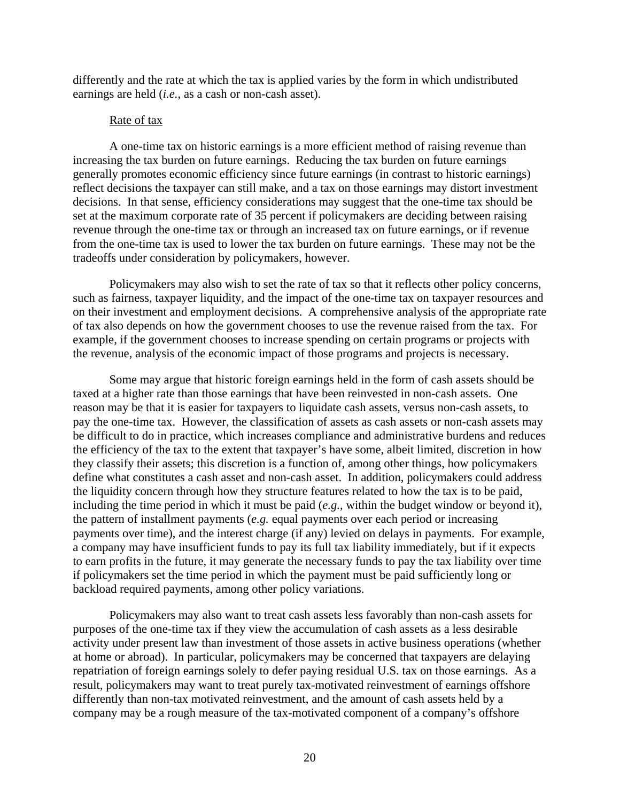differently and the rate at which the tax is applied varies by the form in which undistributed earnings are held (*i.e.*, as a cash or non-cash asset).

## Rate of tax

A one-time tax on historic earnings is a more efficient method of raising revenue than increasing the tax burden on future earnings. Reducing the tax burden on future earnings generally promotes economic efficiency since future earnings (in contrast to historic earnings) reflect decisions the taxpayer can still make, and a tax on those earnings may distort investment decisions. In that sense, efficiency considerations may suggest that the one-time tax should be set at the maximum corporate rate of 35 percent if policymakers are deciding between raising revenue through the one-time tax or through an increased tax on future earnings, or if revenue from the one-time tax is used to lower the tax burden on future earnings. These may not be the tradeoffs under consideration by policymakers, however.

Policymakers may also wish to set the rate of tax so that it reflects other policy concerns, such as fairness, taxpayer liquidity, and the impact of the one-time tax on taxpayer resources and on their investment and employment decisions. A comprehensive analysis of the appropriate rate of tax also depends on how the government chooses to use the revenue raised from the tax. For example, if the government chooses to increase spending on certain programs or projects with the revenue, analysis of the economic impact of those programs and projects is necessary.

Some may argue that historic foreign earnings held in the form of cash assets should be taxed at a higher rate than those earnings that have been reinvested in non-cash assets. One reason may be that it is easier for taxpayers to liquidate cash assets, versus non-cash assets, to pay the one-time tax. However, the classification of assets as cash assets or non-cash assets may be difficult to do in practice, which increases compliance and administrative burdens and reduces the efficiency of the tax to the extent that taxpayer's have some, albeit limited, discretion in how they classify their assets; this discretion is a function of, among other things, how policymakers define what constitutes a cash asset and non-cash asset. In addition, policymakers could address the liquidity concern through how they structure features related to how the tax is to be paid, including the time period in which it must be paid (*e.g.*, within the budget window or beyond it), the pattern of installment payments (*e.g.* equal payments over each period or increasing payments over time), and the interest charge (if any) levied on delays in payments. For example, a company may have insufficient funds to pay its full tax liability immediately, but if it expects to earn profits in the future, it may generate the necessary funds to pay the tax liability over time if policymakers set the time period in which the payment must be paid sufficiently long or backload required payments, among other policy variations.

Policymakers may also want to treat cash assets less favorably than non-cash assets for purposes of the one-time tax if they view the accumulation of cash assets as a less desirable activity under present law than investment of those assets in active business operations (whether at home or abroad). In particular, policymakers may be concerned that taxpayers are delaying repatriation of foreign earnings solely to defer paying residual U.S. tax on those earnings. As a result, policymakers may want to treat purely tax-motivated reinvestment of earnings offshore differently than non-tax motivated reinvestment, and the amount of cash assets held by a company may be a rough measure of the tax-motivated component of a company's offshore